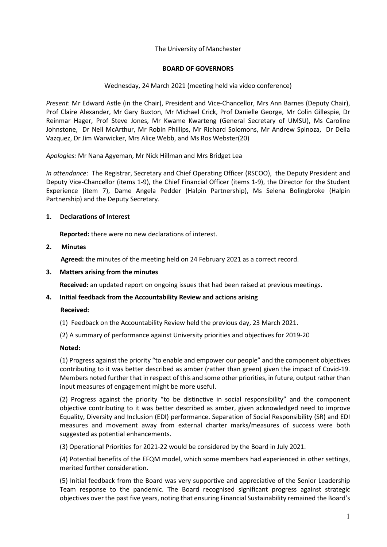## The University of Manchester

## **BOARD OF GOVERNORS**

## Wednesday, 24 March 2021 (meeting held via video conference)

*Present*: Mr Edward Astle (in the Chair), President and Vice-Chancellor, Mrs Ann Barnes (Deputy Chair), Prof Claire Alexander, Mr Gary Buxton, Mr Michael Crick, Prof Danielle George, Mr Colin Gillespie, Dr Reinmar Hager, Prof Steve Jones, Mr Kwame Kwarteng (General Secretary of UMSU), Ms Caroline Johnstone, Dr Neil McArthur, Mr Robin Phillips, Mr Richard Solomons, Mr Andrew Spinoza, Dr Delia Vazquez, Dr Jim Warwicker, Mrs Alice Webb, and Ms Ros Webster(20)

*Apologies:* Mr Nana Agyeman, Mr Nick Hillman and Mrs Bridget Lea

*In attendance*: The Registrar, Secretary and Chief Operating Officer (RSCOO), the Deputy President and Deputy Vice-Chancellor (items 1-9), the Chief Financial Officer (items 1-9), the Director for the Student Experience (item 7), Dame Angela Pedder (Halpin Partnership), Ms Selena Bolingbroke (Halpin Partnership) and the Deputy Secretary.

## **1. Declarations of Interest**

**Reported:** there were no new declarations of interest.

## **2. Minutes**

**Agreed:** the minutes of the meeting held on 24 February 2021 as a correct record.

## **3. Matters arising from the minutes**

**Received:** an updated report on ongoing issues that had been raised at previous meetings.

## **4. Initial feedback from the Accountability Review and actions arising**

## **Received:**

(1) Feedback on the Accountability Review held the previous day, 23 March 2021.

(2) A summary of performance against University priorities and objectives for 2019-20

## **Noted:**

(1) Progress against the priority "to enable and empower our people" and the component objectives contributing to it was better described as amber (rather than green) given the impact of Covid-19. Members noted further that in respect of this and some other priorities, in future, output rather than input measures of engagement might be more useful.

(2) Progress against the priority "to be distinctive in social responsibility" and the component objective contributing to it was better described as amber, given acknowledged need to improve Equality, Diversity and Inclusion (EDI) performance. Separation of Social Responsibility (SR) and EDI measures and movement away from external charter marks/measures of success were both suggested as potential enhancements.

(3) Operational Priorities for 2021-22 would be considered by the Board in July 2021.

(4) Potential benefits of the EFQM model, which some members had experienced in other settings, merited further consideration.

(5) Initial feedback from the Board was very supportive and appreciative of the Senior Leadership Team response to the pandemic. The Board recognised significant progress against strategic objectives over the past five years, noting that ensuring Financial Sustainability remained the Board's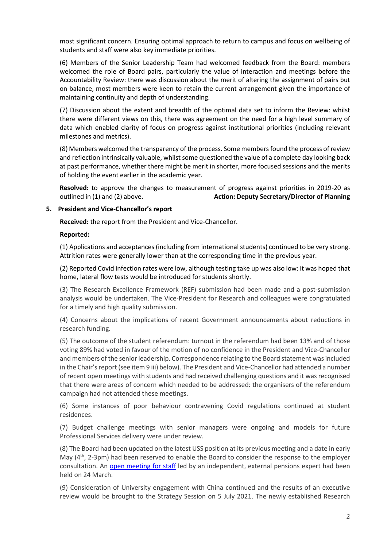most significant concern. Ensuring optimal approach to return to campus and focus on wellbeing of students and staff were also key immediate priorities.

(6) Members of the Senior Leadership Team had welcomed feedback from the Board: members welcomed the role of Board pairs, particularly the value of interaction and meetings before the Accountability Review: there was discussion about the merit of altering the assignment of pairs but on balance, most members were keen to retain the current arrangement given the importance of maintaining continuity and depth of understanding.

(7) Discussion about the extent and breadth of the optimal data set to inform the Review: whilst there were different views on this, there was agreement on the need for a high level summary of data which enabled clarity of focus on progress against institutional priorities (including relevant milestones and metrics).

(8) Members welcomed the transparency of the process. Some members found the process of review and reflection intrinsically valuable, whilst some questioned the value of a complete day looking back at past performance, whether there might be merit in shorter, more focused sessions and the merits of holding the event earlier in the academic year.

**Resolved:** to approve the changes to measurement of progress against priorities in 2019-20 as outlined in (1) and (2) above**. Action: Deputy Secretary/Director of Planning**

## **5. President and Vice-Chancellor's report**

 **Received:** the report from the President and Vice-Chancellor.

#### **Reported:**

(1) Applications and acceptances (including from international students) continued to be very strong. Attrition rates were generally lower than at the corresponding time in the previous year.

(2) Reported Covid infection rates were low, although testing take up was also low: it was hoped that home, lateral flow tests would be introduced for students shortly.

(3) The Research Excellence Framework (REF) submission had been made and a post-submission analysis would be undertaken. The Vice-President for Research and colleagues were congratulated for a timely and high quality submission.

(4) Concerns about the implications of recent Government announcements about reductions in research funding.

(5) The outcome of the student referendum: turnout in the referendum had been 13% and of those voting 89% had voted in favour of the motion of no confidence in the President and Vice-Chancellor and members of the senior leadership. Correspondence relating to the Board statement was included in the Chair's report (see item 9 iii) below). The President and Vice-Chancellor had attended a number of recent open meetings with students and had received challenging questions and it was recognised that there were areas of concern which needed to be addressed: the organisers of the referendum campaign had not attended these meetings.

(6) Some instances of poor behaviour contravening Covid regulations continued at student residences.

(7) Budget challenge meetings with senior managers were ongoing and models for future Professional Services delivery were under review.

(8) The Board had been updated on the latest USS position at its previous meeting and a date in early May  $(4<sup>th</sup>, 2-3pm)$  had been reserved to enable the Board to consider the response to the employer consultation. An open meeting for staff led by an independent, external pensions expert had been held on 24 March.

(9) Consideration of University engagement with China continued and the results of an executive review would be brought to the Strategy Session on 5 July 2021. The newly established Research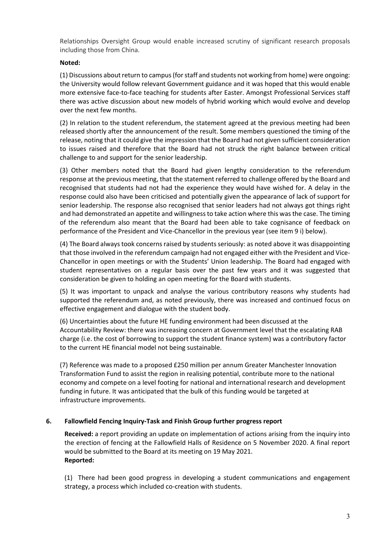Relationships Oversight Group would enable increased scrutiny of significant research proposals including those from China.

## **Noted:**

(1) Discussions about return to campus (for staff and students not working from home) were ongoing: the University would follow relevant Government guidance and it was hoped that this would enable more extensive face-to-face teaching for students after Easter. Amongst Professional Services staff there was active discussion about new models of hybrid working which would evolve and develop over the next few months.

(2) In relation to the student referendum, the statement agreed at the previous meeting had been released shortly after the announcement of the result. Some members questioned the timing of the release, noting that it could give the impression that the Board had not given sufficient consideration to issues raised and therefore that the Board had not struck the right balance between critical challenge to and support for the senior leadership.

(3) Other members noted that the Board had given lengthy consideration to the referendum response at the previous meeting, that the statement referred to challenge offered by the Board and recognised that students had not had the experience they would have wished for. A delay in the response could also have been criticised and potentially given the appearance of lack of support for senior leadership. The response also recognised that senior leaders had not always got things right and had demonstrated an appetite and willingness to take action where this was the case. The timing of the referendum also meant that the Board had been able to take cognisance of feedback on performance of the President and Vice-Chancellor in the previous year (see item 9 i) below).

(4) The Board always took concerns raised by students seriously: as noted above it was disappointing that those involved in the referendum campaign had not engaged either with the President and Vice-Chancellor in open meetings or with the Students' Union leadership. The Board had engaged with student representatives on a regular basis over the past few years and it was suggested that consideration be given to holding an open meeting for the Board with students.

(5) It was important to unpack and analyse the various contributory reasons why students had supported the referendum and, as noted previously, there was increased and continued focus on effective engagement and dialogue with the student body.

(6) Uncertainties about the future HE funding environment had been discussed at the Accountability Review: there was increasing concern at Government level that the escalating RAB charge (i.e. the cost of borrowing to support the student finance system) was a contributory factor to the current HE financial model not being sustainable.

(7) Reference was made to a proposed £250 million per annum Greater Manchester Innovation Transformation Fund to assist the region in realising potential, contribute more to the national economy and compete on a level footing for national and international research and development funding in future. It was anticipated that the bulk of this funding would be targeted at infrastructure improvements.

# **6. Fallowfield Fencing Inquiry-Task and Finish Group further progress report**

**Received:** a report providing an update on implementation of actions arising from the inquiry into the erection of fencing at the Fallowfield Halls of Residence on 5 November 2020. A final report would be submitted to the Board at its meeting on 19 May 2021. **Reported:**

(1) There had been good progress in developing a student communications and engagement strategy, a process which included co-creation with students.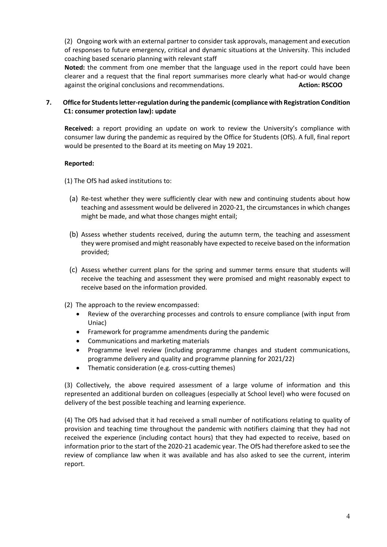(2) Ongoing work with an external partner to consider task approvals, management and execution of responses to future emergency, critical and dynamic situations at the University. This included coaching based scenario planning with relevant staff

**Noted:** the comment from one member that the language used in the report could have been clearer and a request that the final report summarises more clearly what had-or would change against the original conclusions and recommendations. **Action: RSCOO Action: RSCOO** 

## **7. Office for Students letter-regulation during the pandemic (compliance with Registration Condition C1: consumer protection law): update**

**Received:** a report providing an update on work to review the University's compliance with consumer law during the pandemic as required by the Office for Students (OfS). A full, final report would be presented to the Board at its meeting on May 19 2021.

# **Reported:**

- (1) The OfS had asked institutions to:
	- (a) Re-test whether they were sufficiently clear with new and continuing students about how teaching and assessment would be delivered in 2020-21, the circumstances in which changes might be made, and what those changes might entail;
	- (b) Assess whether students received, during the autumn term, the teaching and assessment they were promised and might reasonably have expected to receive based on the information provided;
	- (c) Assess whether current plans for the spring and summer terms ensure that students will receive the teaching and assessment they were promised and might reasonably expect to receive based on the information provided.
- (2) The approach to the review encompassed:
	- Review of the overarching processes and controls to ensure compliance (with input from Uniac)
	- Framework for programme amendments during the pandemic
	- Communications and marketing materials
	- Programme level review (including programme changes and student communications, programme delivery and quality and programme planning for 2021/22)
	- Thematic consideration (e.g. cross-cutting themes)

(3) Collectively, the above required assessment of a large volume of information and this represented an additional burden on colleagues (especially at School level) who were focused on delivery of the best possible teaching and learning experience.

(4) The OfS had advised that it had received a small number of notifications relating to quality of provision and teaching time throughout the pandemic with notifiers claiming that they had not received the experience (including contact hours) that they had expected to receive, based on information prior to the start of the 2020-21 academic year. The OfS had therefore asked to see the review of compliance law when it was available and has also asked to see the current, interim report.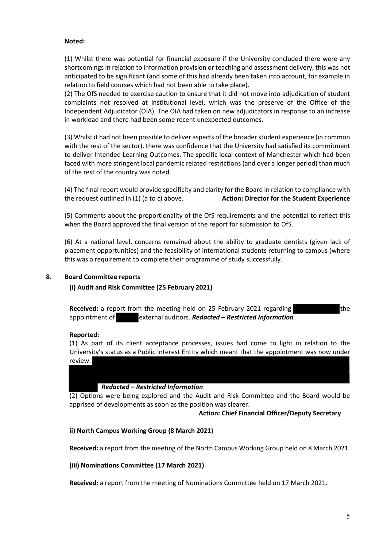## **Noted:**

(1) Whilst there was potential for financial exposure if the University concluded there were any shortcomings in relation to information provision or teaching and assessment delivery, this was not anticipated to be significant (and some of this had already been taken into account, for example in relation to field courses which had not been able to take place).

(2) The OfS needed to exercise caution to ensure that it did not move into adjudication of student complaints not resolved at institutional level, which was the preserve of the Office of the Independent Adjudicator (OIA). The OIA had taken on new adjudicators in response to an increase in workload and there had been some recent unexpected outcomes.

(3) Whilst it had not been possible to deliver aspects of the broader student experience (in common with the rest of the sector), there was confidence that the University had satisfied its commitment to deliver Intended Learning Outcomes. The specific local context of Manchester which had been faced with more stringent local pandemic related restrictions (and over a longer period) than much of the rest of the country was noted.

(4) The final report would provide specificity and clarity for the Board in relation to compliance with the request outlined in (1) (a to c) above. **Action: Director for the Student Experience**

(5) Comments about the proportionality of the OfS requirements and the potential to reflect this when the Board approved the final version of the report for submission to OfS.

(6) At a national level, concerns remained about the ability to graduate dentists (given lack of placement opportunities) and the feasibility of international students returning to campus (where this was a requirement to complete their programme of study successfully.

## **8. Board Committee reports**

# **(i) Audit and Risk Committee (25 February 2021)**

**Received:** a report from the meeting held on 25 February 2021 regarding appointment of external auditors. *Redacted – Restricted Information*

## **Reported:**

(1) As part of its client acceptance processes, issues had come to light in relation to the University's status as a Public Interest Entity which meant that the appointment was now under review.

## *Redacted – Restricted Information*

(2) Options were being explored and the Audit and Risk Committee and the Board would be apprised of developments as soon as the position was clearer.

## **Action: Chief Financial Officer/Deputy Secretary**

## **ii) North Campus Working Group (8 March 2021)**

**Received:** a report from the meeting of the North Campus Working Group held on 8 March 2021.

## **(iii) Nominations Committee (17 March 2021)**

**Received:** a report from the meeting of Nominations Committee held on 17 March 2021.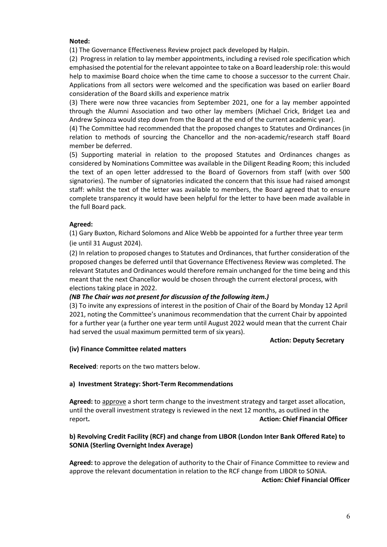### **Noted:**

(1) The Governance Effectiveness Review project pack developed by Halpin.

(2) Progress in relation to lay member appointments, including a revised role specification which emphasised the potential for the relevant appointee to take on a Board leadership role: this would help to maximise Board choice when the time came to choose a successor to the current Chair. Applications from all sectors were welcomed and the specification was based on earlier Board consideration of the Board skills and experience matrix

(3) There were now three vacancies from September 2021, one for a lay member appointed through the Alumni Association and two other lay members (Michael Crick, Bridget Lea and Andrew Spinoza would step down from the Board at the end of the current academic year).

(4) The Committee had recommended that the proposed changes to Statutes and Ordinances (in relation to methods of sourcing the Chancellor and the non-academic/research staff Board member be deferred.

(5) Supporting material in relation to the proposed Statutes and Ordinances changes as considered by Nominations Committee was available in the Diligent Reading Room; this included the text of an open letter addressed to the Board of Governors from staff (with over 500 signatories). The number of signatories indicated the concern that this issue had raised amongst staff: whilst the text of the letter was available to members, the Board agreed that to ensure complete transparency it would have been helpful for the letter to have been made available in the full Board pack.

## **Agreed:**

(1) Gary Buxton, Richard Solomons and Alice Webb be appointed for a further three year term (ie until 31 August 2024).

(2) In relation to proposed changes to Statutes and Ordinances, that further consideration of the proposed changes be deferred until that Governance Effectiveness Review was completed. The relevant Statutes and Ordinances would therefore remain unchanged for the time being and this meant that the next Chancellor would be chosen through the current electoral process, with elections taking place in 2022.

## *(NB The Chair was not present for discussion of the following item.)*

(3) To invite any expressions of interest in the position of Chair of the Board by Monday 12 April 2021, noting the Committee's unanimous recommendation that the current Chair by appointed for a further year (a further one year term until August 2022 would mean that the current Chair had served the usual maximum permitted term of six years).

#### **Action: Deputy Secretary**

## **(iv) Finance Committee related matters**

**Received**: reports on the two matters below.

#### **a) Investment Strategy: Short-Term Recommendations**

**Agreed:** to approve a short term change to the investment strategy and target asset allocation, until the overall investment strategy is reviewed in the next 12 months, as outlined in the report**. Action: Chief Financial Officer**

## **b) Revolving Credit Facility (RCF) and change from LIBOR (London Inter Bank Offered Rate) to SONIA (Sterling Overnight Index Average)**

**Agreed:** to approve the delegation of authority to the Chair of Finance Committee to review and approve the relevant documentation in relation to the RCF change from LIBOR to SONIA.  **Action: Chief Financial Officer**